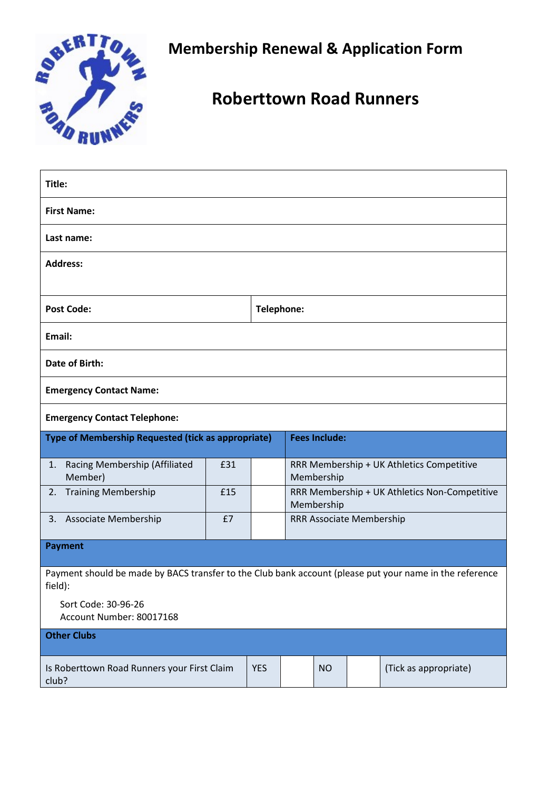

**Membership Renewal & Application Form**

# **Roberttown Road Runners**

| Title:                                                                                                             |     |  |                                                             |           |  |                       |  |  |
|--------------------------------------------------------------------------------------------------------------------|-----|--|-------------------------------------------------------------|-----------|--|-----------------------|--|--|
| <b>First Name:</b>                                                                                                 |     |  |                                                             |           |  |                       |  |  |
| Last name:                                                                                                         |     |  |                                                             |           |  |                       |  |  |
| <b>Address:</b>                                                                                                    |     |  |                                                             |           |  |                       |  |  |
|                                                                                                                    |     |  |                                                             |           |  |                       |  |  |
| <b>Post Code:</b>                                                                                                  |     |  | Telephone:                                                  |           |  |                       |  |  |
| Email:                                                                                                             |     |  |                                                             |           |  |                       |  |  |
| <b>Date of Birth:</b>                                                                                              |     |  |                                                             |           |  |                       |  |  |
| <b>Emergency Contact Name:</b>                                                                                     |     |  |                                                             |           |  |                       |  |  |
| <b>Emergency Contact Telephone:</b>                                                                                |     |  |                                                             |           |  |                       |  |  |
| Type of Membership Requested (tick as appropriate)                                                                 |     |  | <b>Fees Include:</b>                                        |           |  |                       |  |  |
| Racing Membership (Affiliated<br>1.<br>Member)                                                                     | £31 |  | RRR Membership + UK Athletics Competitive<br>Membership     |           |  |                       |  |  |
| <b>Training Membership</b><br>2.                                                                                   | £15 |  | RRR Membership + UK Athletics Non-Competitive<br>Membership |           |  |                       |  |  |
| <b>Associate Membership</b><br>3.                                                                                  | £7  |  | <b>RRR Associate Membership</b>                             |           |  |                       |  |  |
| Payment                                                                                                            |     |  |                                                             |           |  |                       |  |  |
| Payment should be made by BACS transfer to the Club bank account (please put your name in the reference<br>field): |     |  |                                                             |           |  |                       |  |  |
| Sort Code: 30-96-26<br>Account Number: 80017168                                                                    |     |  |                                                             |           |  |                       |  |  |
| <b>Other Clubs</b>                                                                                                 |     |  |                                                             |           |  |                       |  |  |
| <b>YES</b><br>Is Roberttown Road Runners your First Claim<br>club?                                                 |     |  |                                                             | <b>NO</b> |  | (Tick as appropriate) |  |  |